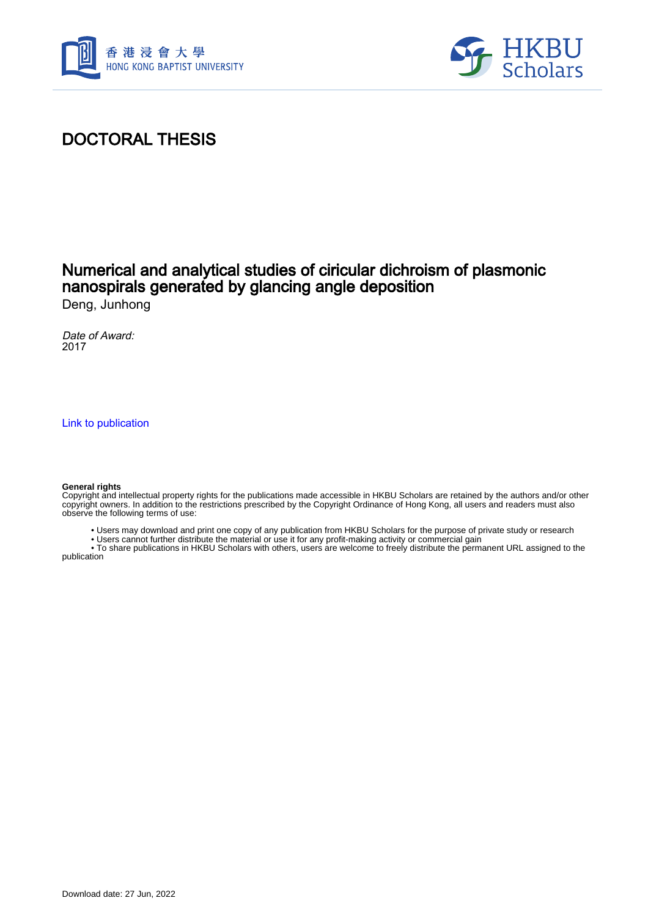



## DOCTORAL THESIS

## Numerical and analytical studies of ciricular dichroism of plasmonic nanospirals generated by glancing angle deposition

Deng, Junhong

Date of Award: 2017

[Link to publication](https://scholars.hkbu.edu.hk/en/studentTheses/458674f6-57d9-466f-9368-79afe2f757b8)

#### **General rights**

Copyright and intellectual property rights for the publications made accessible in HKBU Scholars are retained by the authors and/or other copyright owners. In addition to the restrictions prescribed by the Copyright Ordinance of Hong Kong, all users and readers must also observe the following terms of use:

- Users may download and print one copy of any publication from HKBU Scholars for the purpose of private study or research
- Users cannot further distribute the material or use it for any profit-making activity or commercial gain

 • To share publications in HKBU Scholars with others, users are welcome to freely distribute the permanent URL assigned to the publication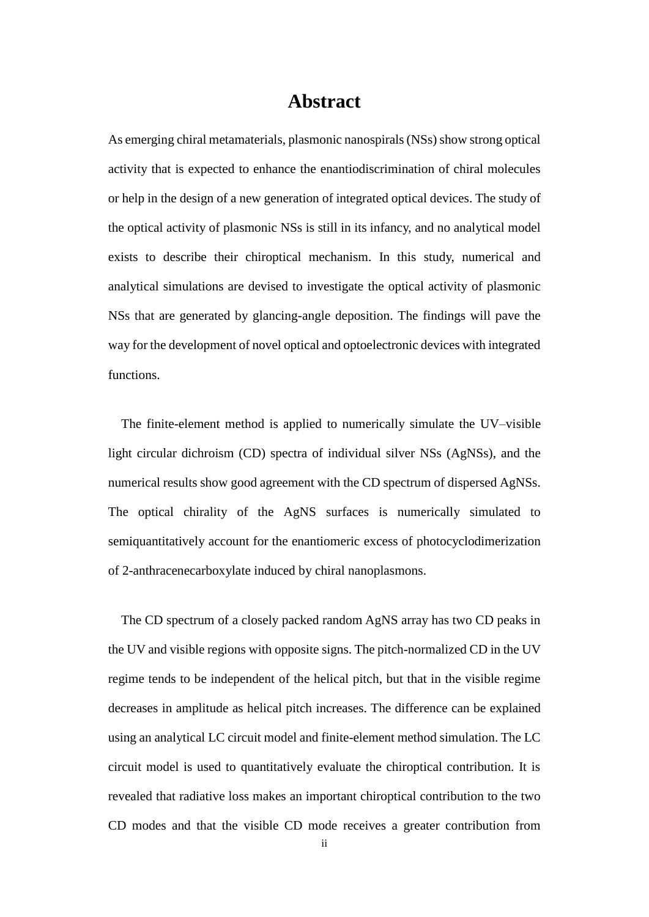### **Abstract**

<span id="page-1-0"></span>As emerging chiral metamaterials, plasmonic nanospirals (NSs) show strong optical activity that is expected to enhance the enantiodiscrimination of chiral molecules or help in the design of a new generation of integrated optical devices. The study of the optical activity of plasmonic NSs is still in its infancy, and no analytical model exists to describe their chiroptical mechanism. In this study, numerical and analytical simulations are devised to investigate the optical activity of plasmonic NSs that are generated by glancing-angle deposition. The findings will pave the way for the development of novel optical and optoelectronic devices with integrated functions.

The finite-element method is applied to numerically simulate the UV–visible light circular dichroism (CD) spectra of individual silver NSs (AgNSs), and the numerical results show good agreement with the CD spectrum of dispersed AgNSs. The optical chirality of the AgNS surfaces is numerically simulated to semiquantitatively account for the enantiomeric excess of photocyclodimerization of 2-anthracenecarboxylate induced by chiral nanoplasmons.

The CD spectrum of a closely packed random AgNS array has two CD peaks in the UV and visible regions with opposite signs. The pitch-normalized CD in the UV regime tends to be independent of the helical pitch, but that in the visible regime decreases in amplitude as helical pitch increases. The difference can be explained using an analytical LC circuit model and finite-element method simulation. The LC circuit model is used to quantitatively evaluate the chiroptical contribution. It is revealed that radiative loss makes an important chiroptical contribution to the two CD modes and that the visible CD mode receives a greater contribution from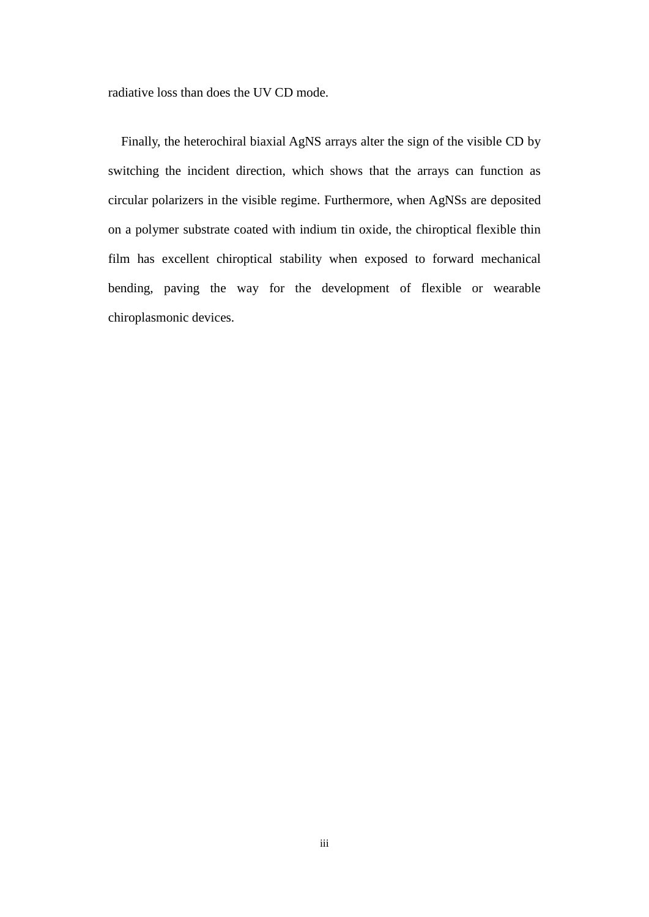radiative loss than does the UV CD mode.

Finally, the heterochiral biaxial AgNS arrays alter the sign of the visible CD by switching the incident direction, which shows that the arrays can function as circular polarizers in the visible regime. Furthermore, when AgNSs are deposited on a polymer substrate coated with indium tin oxide, the chiroptical flexible thin film has excellent chiroptical stability when exposed to forward mechanical bending, paving the way for the development of flexible or wearable chiroplasmonic devices.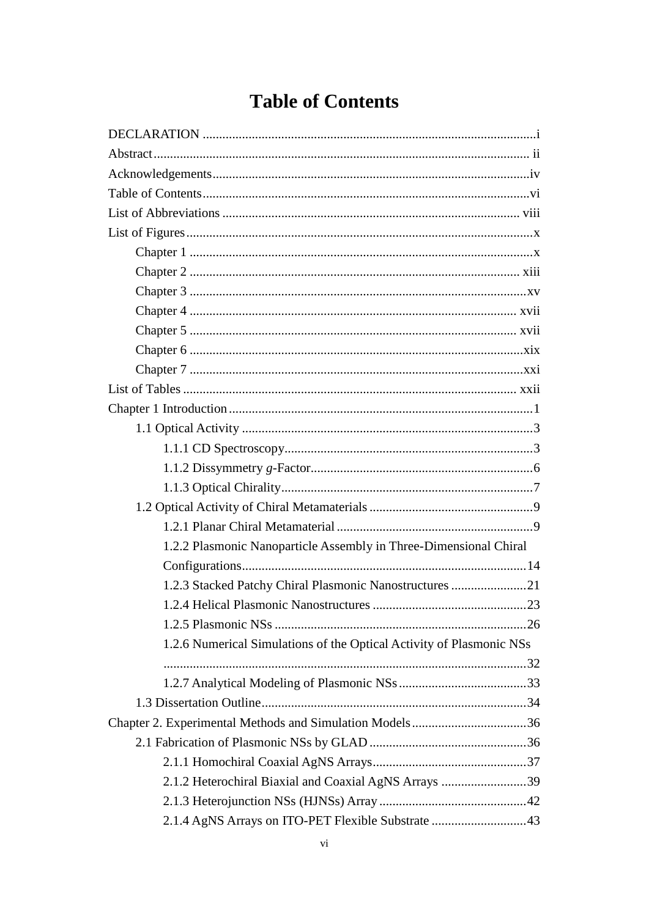# <span id="page-3-0"></span>**Table of Contents**

| 1.2.2 Plasmonic Nanoparticle Assembly in Three-Dimensional Chiral    |  |
|----------------------------------------------------------------------|--|
|                                                                      |  |
| 1.2.3 Stacked Patchy Chiral Plasmonic Nanostructures 21              |  |
|                                                                      |  |
|                                                                      |  |
| 1.2.6 Numerical Simulations of the Optical Activity of Plasmonic NSs |  |
|                                                                      |  |
|                                                                      |  |
|                                                                      |  |
| Chapter 2. Experimental Methods and Simulation Models36              |  |
|                                                                      |  |
|                                                                      |  |
| 2.1.2 Heterochiral Biaxial and Coaxial AgNS Arrays 39                |  |
|                                                                      |  |
| 2.1.4 AgNS Arrays on ITO-PET Flexible Substrate 43                   |  |